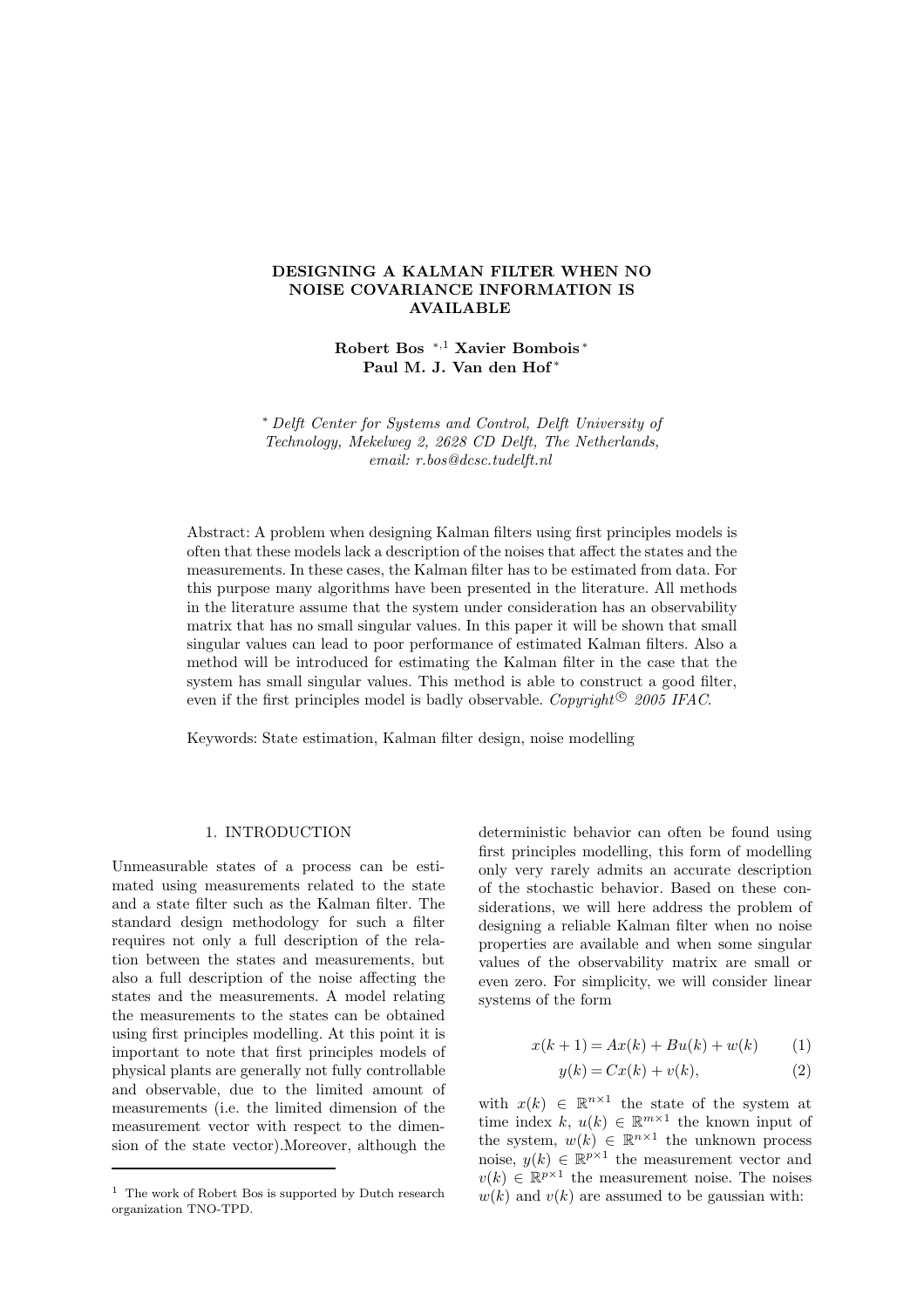# **DESIGNING A KALMAN FILTER WHEN NO NOISE COVARIANCE INFORMATION IS AVAILABLE**

**Robert Bos** <sup>∗</sup>*,*<sup>1</sup> **Xavier Bombois** <sup>∗</sup> **Paul M. J. Van den Hof** <sup>∗</sup>

∗ *Delft Center for Systems and Control, Delft University of Technology, Mekelweg 2, 2628 CD Delft, The Netherlands, email: r.bos@dcsc.tudelft.nl*

Abstract: A problem when designing Kalman filters using first principles models is often that these models lack a description of the noises that affect the states and the measurements. In these cases, the Kalman filter has to be estimated from data. For this purpose many algorithms have been presented in the literature. All methods in the literature assume that the system under consideration has an observability matrix that has no small singular values. In this paper it will be shown that small singular values can lead to poor performance of estimated Kalman filters. Also a method will be introduced for estimating the Kalman filter in the case that the system has small singular values. This method is able to construct a good filter, even if the first principles model is badly observable. *Copyright*<sup>©</sup> 2005 IFAC.

Keywords: State estimation, Kalman filter design, noise modelling

### 1. INTRODUCTION

Unmeasurable states of a process can be estimated using measurements related to the state and a state filter such as the Kalman filter. The standard design methodology for such a filter requires not only a full description of the relation between the states and measurements, but also a full description of the noise affecting the states and the measurements. A model relating the measurements to the states can be obtained using first principles modelling. At this point it is important to note that first principles models of physical plants are generally not fully controllable and observable, due to the limited amount of measurements (i.e. the limited dimension of the measurement vector with respect to the dimension of the state vector).Moreover, although the deterministic behavior can often be found using first principles modelling, this form of modelling only very rarely admits an accurate description of the stochastic behavior. Based on these considerations, we will here address the problem of designing a reliable Kalman filter when no noise properties are available and when some singular values of the observability matrix are small or even zero. For simplicity, we will consider linear systems of the form

$$
x(k+1) = Ax(k) + Bu(k) + w(k)
$$
 (1)

$$
y(k) = Cx(k) + v(k),\tag{2}
$$

with  $x(k) \in \mathbb{R}^{n \times 1}$  the state of the system at time index k,  $u(k) \in \mathbb{R}^{m \times 1}$  the known input of the system,  $w(k) \in \mathbb{R}^{n \times 1}$  the unknown process noise,  $y(k) \in \mathbb{R}^{p \times 1}$  the measurement vector and  $v(k) \in \mathbb{R}^{p \times 1}$  the measurement noise. The noises  $w(k)$  and  $v(k)$  are assumed to be gaussian with:

<sup>&</sup>lt;sup>1</sup> The work of Robert Bos is supported by Dutch research organization TNO-TPD.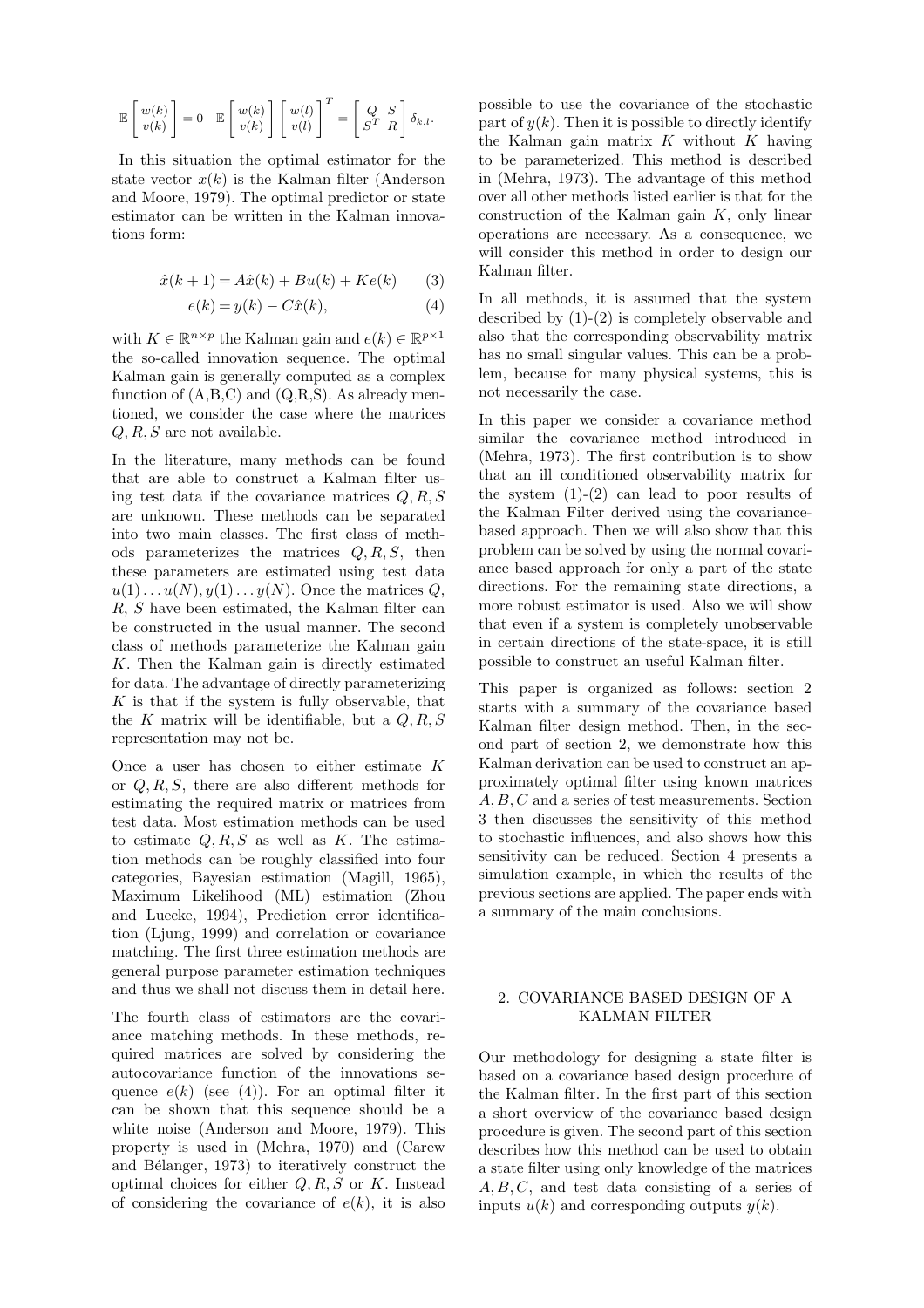$$
\mathbb{E}\left[\!\begin{array}{c}w(k)\\v(k)\end{array}\!\right]=0\quad \mathbb{E}\left[\!\begin{array}{c}w(k)\\v(k)\end{array}\!\right]\left[\!\begin{array}{c}w(l)\\v(l)\end{array}\!\right]^T=\left[\!\begin{array}{cc}Q & S\\S^T & R\end{array}\!\right]\delta_{k,l}.
$$

In this situation the optimal estimator for the state vector  $x(k)$  is the Kalman filter (Anderson and Moore, 1979). The optimal predictor or state estimator can be written in the Kalman innovations form:

$$
\hat{x}(k+1) = A\hat{x}(k) + Bu(k) + Ke(k)
$$
 (3)

$$
e(k) = y(k) - C\hat{x}(k),\tag{4}
$$

with  $K \in \mathbb{R}^{n \times p}$  the Kalman gain and  $e(k) \in \mathbb{R}^{p \times 1}$ the so-called innovation sequence. The optimal Kalman gain is generally computed as a complex function of  $(A,B,C)$  and  $(Q,R,S)$ . As already mentioned, we consider the case where the matrices  $Q, R, S$  are not available.

In the literature, many methods can be found that are able to construct a Kalman filter using test data if the covariance matrices  $Q, R, S$ are unknown. These methods can be separated into two main classes. The first class of methods parameterizes the matrices  $Q, R, S$ , then these parameters are estimated using test data  $u(1)\dots u(N), y(1)\dots y(N)$ . Once the matrices Q, R, S have been estimated, the Kalman filter can be constructed in the usual manner. The second class of methods parameterize the Kalman gain K. Then the Kalman gain is directly estimated for data. The advantage of directly parameterizing  $K$  is that if the system is fully observable, that the K matrix will be identifiable, but a  $Q, R, S$ representation may not be.

Once a user has chosen to either estimate K or Q, R, S, there are also different methods for estimating the required matrix or matrices from test data. Most estimation methods can be used to estimate  $Q, R, S$  as well as K. The estimation methods can be roughly classified into four categories, Bayesian estimation (Magill, 1965), Maximum Likelihood (ML) estimation (Zhou and Luecke, 1994), Prediction error identification (Ljung, 1999) and correlation or covariance matching. The first three estimation methods are general purpose parameter estimation techniques and thus we shall not discuss them in detail here.

The fourth class of estimators are the covariance matching methods. In these methods, required matrices are solved by considering the autocovariance function of the innovations sequence  $e(k)$  (see (4)). For an optimal filter it can be shown that this sequence should be a white noise (Anderson and Moore, 1979). This property is used in (Mehra, 1970) and (Carew and Bélanger, 1973) to iteratively construct the optimal choices for either  $Q, R, S$  or K. Instead of considering the covariance of  $e(k)$ , it is also

possible to use the covariance of the stochastic part of  $y(k)$ . Then it is possible to directly identify the Kalman gain matrix  $K$  without  $K$  having to be parameterized. This method is described in (Mehra, 1973). The advantage of this method over all other methods listed earlier is that for the  $\alpha$  construction of the Kalman gain  $K$ , only linear operations are necessary. As a consequence, we will consider this method in order to design our Kalman filter.

In all methods, it is assumed that the system described by (1)-(2) is completely observable and also that the corresponding observability matrix has no small singular values. This can be a problem, because for many physical systems, this is not necessarily the case.

In this paper we consider a covariance method similar the covariance method introduced in (Mehra, 1973). The first contribution is to show that an ill conditioned observability matrix for the system  $(1)-(2)$  can lead to poor results of the Kalman Filter derived using the covariancebased approach. Then we will also show that this problem can be solved by using the normal covariance based approach for only a part of the state directions. For the remaining state directions, a more robust estimator is used. Also we will show that even if a system is completely unobservable in certain directions of the state-space, it is still possible to construct an useful Kalman filter.

This paper is organized as follows: section 2 starts with a summary of the covariance based Kalman filter design method. Then, in the second part of section 2, we demonstrate how this Kalman derivation can be used to construct an approximately optimal filter using known matrices A, B, C and a series of test measurements. Section 3 then discusses the sensitivity of this method to stochastic influences, and also shows how this sensitivity can be reduced. Section 4 presents a simulation example, in which the results of the previous sections are applied. The paper ends with a summary of the main conclusions.

# 2. COVARIANCE BASED DESIGN OF A KALMAN FILTER

Our methodology for designing a state filter is based on a covariance based design procedure of the Kalman filter. In the first part of this section a short overview of the covariance based design procedure is given. The second part of this section describes how this method can be used to obtain a state filter using only knowledge of the matrices  $A, B, C$ , and test data consisting of a series of inputs  $u(k)$  and corresponding outputs  $y(k)$ .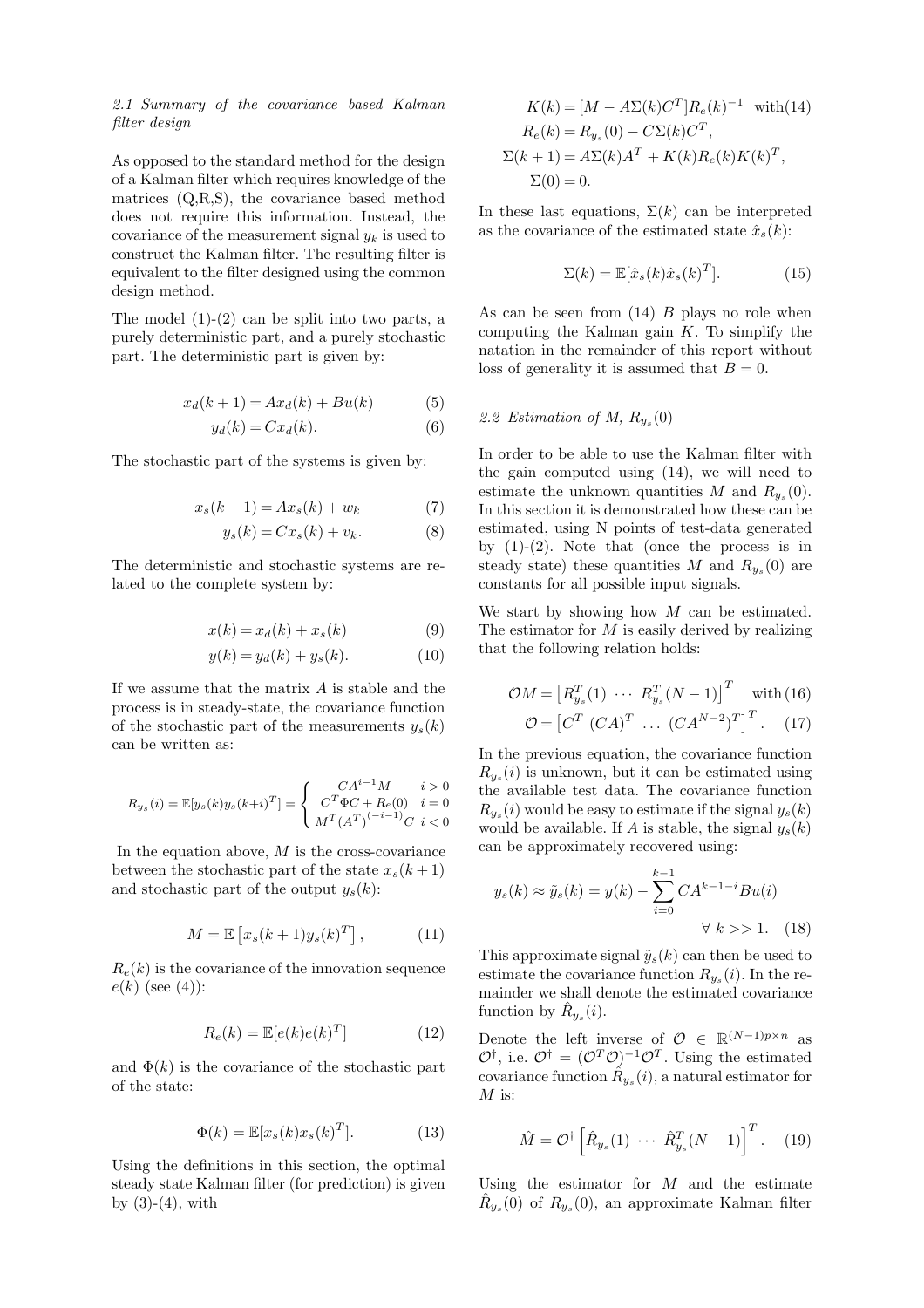## *2.1 Summary of the covariance based Kalman filter design*

As opposed to the standard method for the design of a Kalman filter which requires knowledge of the matrices (Q,R,S), the covariance based method does not require this information. Instead, the covariance of the measurement signal y*<sup>k</sup>* is used to construct the Kalman filter. The resulting filter is equivalent to the filter designed using the common design method.

The model  $(1)-(2)$  can be split into two parts, a purely deterministic part, and a purely stochastic part. The deterministic part is given by:

$$
x_d(k+1) = Ax_d(k) + Bu(k)
$$
 (5)

$$
y_d(k) = Cx_d(k). \tag{6}
$$

The stochastic part of the systems is given by:

$$
x_s(k+1) = Ax_s(k) + w_k \tag{7}
$$

$$
y_s(k) = Cx_s(k) + v_k. \tag{8}
$$

The deterministic and stochastic systems are related to the complete system by:

$$
x(k) = x_d(k) + x_s(k) \tag{9}
$$

$$
y(k) = y_d(k) + y_s(k). \tag{10}
$$

If we assume that the matrix  $A$  is stable and the process is in steady-state, the covariance function of the stochastic part of the measurements  $y_s(k)$ can be written as:

$$
R_{y_s}(i) = \mathbb{E}[y_s(k)y_s(k+i)^T] = \begin{cases} C A^{i-1} M & i > 0\\ C^T \Phi C + R_e(0) & i = 0\\ M^T (A^T)^{(-i-1)} C & i < 0 \end{cases}
$$

In the equation above,  $M$  is the cross-covariance between the stochastic part of the state  $x_s(k+1)$ and stochastic part of the output  $y_s(k)$ :

$$
M = \mathbb{E}\left[x_s(k+1)y_s(k)^T\right],\tag{11}
$$

 $R_e(k)$  is the covariance of the innovation sequence  $e(k)$  (see (4)):

$$
R_e(k) = \mathbb{E}[e(k)e(k)^T]
$$
 (12)

and  $\Phi(k)$  is the covariance of the stochastic part of the state:

$$
\Phi(k) = \mathbb{E}[x_s(k)x_s(k)^T].
$$
\n(13)

Using the definitions in this section, the optimal steady state Kalman filter (for prediction) is given by  $(3)-(4)$ , with

$$
K(k) = [M - A\Sigma(k)CT]Re(k)-1 with (14)
$$
  
\n
$$
Re(k) = Rys(0) - C\Sigma(k)CT,
$$
  
\n
$$
\Sigma(k+1) = A\Sigma(k)AT + K(k)Re(k)K(k)T,
$$
  
\n
$$
\Sigma(0) = 0.
$$

In these last equations,  $\Sigma(k)$  can be interpreted as the covariance of the estimated state  $\hat{x}_s(k)$ :

$$
\Sigma(k) = \mathbb{E}[\hat{x}_s(k)\hat{x}_s(k)^T].
$$
 (15)

As can be seen from  $(14)$  B plays no role when computing the Kalman gain  $K$ . To simplify the natation in the remainder of this report without loss of generality it is assumed that  $B = 0$ .

#### 2.2 Estimation of M,  $R_{y_s}(0)$

In order to be able to use the Kalman filter with the gain computed using (14), we will need to estimate the unknown quantities M and  $R_{y}$ <sub>s</sub>(0). In this section it is demonstrated how these can be estimated, using N points of test-data generated by  $(1)-(2)$ . Note that (once the process is in steady state) these quantities M and  $R_{y_s}(0)$  are constants for all possible input signals.

We start by showing how  $M$  can be estimated. The estimator for  $M$  is easily derived by realizing that the following relation holds:

$$
\mathcal{O}M = [R_{y_s}^T(1) \cdots R_{y_s}^T(N-1)]^T \text{ with (16)}
$$

$$
\mathcal{O} = [C^T (CA)^T \cdots (CA^{N-2})^T]^T. \quad (17)
$$

In the previous equation, the covariance function  $R_{y_s}(i)$  is unknown, but it can be estimated using the available test data. The covariance function  $R_{y_s}(i)$  would be easy to estimate if the signal  $y_s(k)$ would be available. If A is stable, the signal  $y_s(k)$ can be approximately recovered using:

$$
y_s(k) \approx \tilde{y}_s(k) = y(k) - \sum_{i=0}^{k-1} CA^{k-1-i}Bu(i)
$$
  
 $\forall k >> 1.$  (18)

This approximate signal  $\tilde{y}_s(k)$  can then be used to estimate the covariance function  $R_{y_s}(i)$ . In the remainder we shall denote the estimated covariance function by  $\hat{R}_{y_s}(i)$ .

Denote the left inverse of  $\mathcal{O} \in \mathbb{R}^{(N-1)p \times n}$  as  $\mathcal{O}^{\dagger}$ , i.e.  $\mathcal{O}^{\dagger} = (\mathcal{O}^T \mathcal{O})^{-1} \mathcal{O}^T$ . Using the estimated covariance function  $\hat{R}_{y_s}(i)$ , a natural estimator for  $M$  is:

$$
\hat{M} = \mathcal{O}^\dagger \left[ \hat{R}_{y_s}(1) \cdots \hat{R}_{y_s}^T (N-1) \right]^T.
$$
 (19)

Using the estimator for  $M$  and the estimate  $\hat{R}_{y_s}(0)$  of  $R_{y_s}(0)$ , an approximate Kalman filter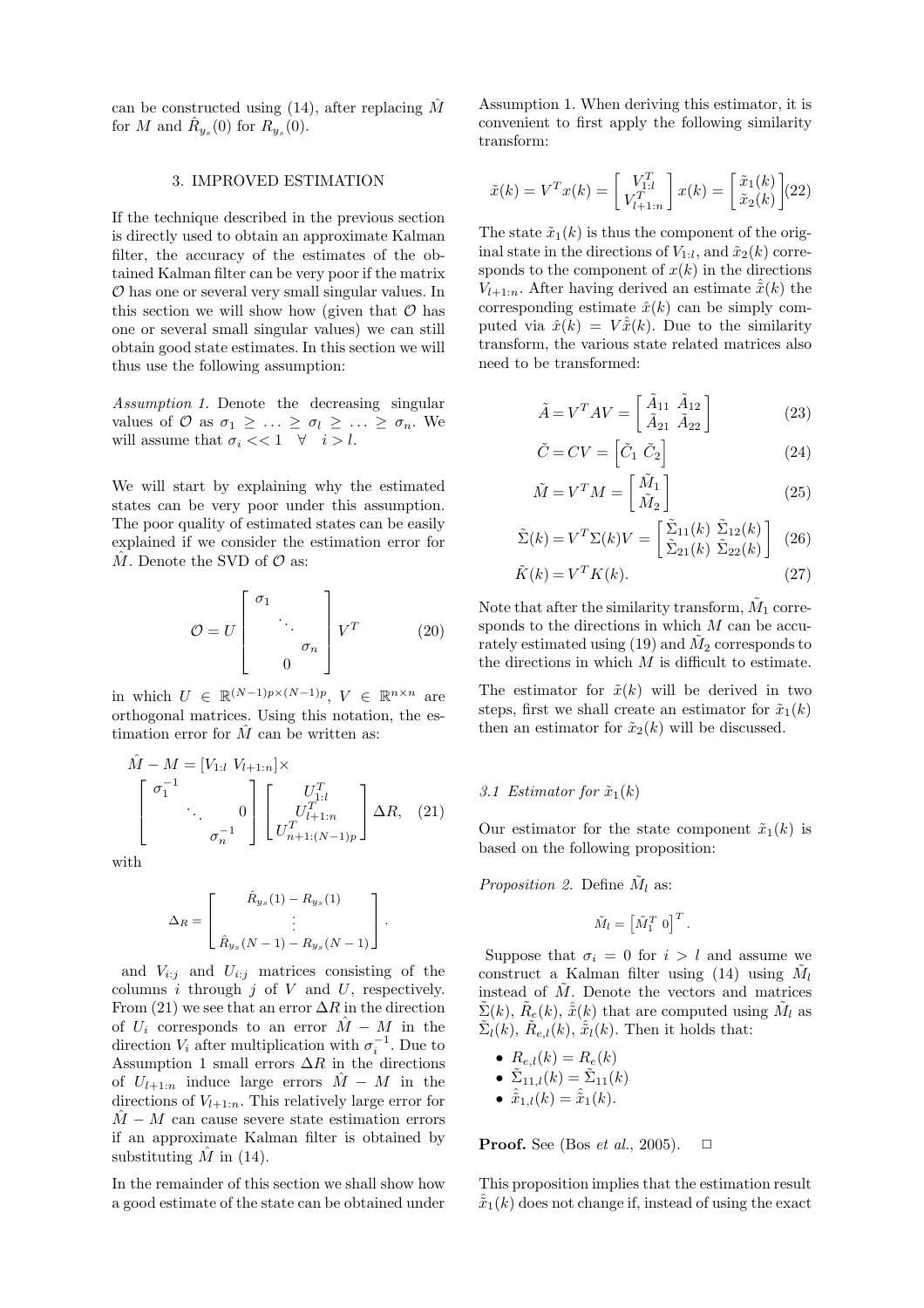can be constructed using  $(14)$ , after replacing M for M and  $\hat{R}_{y_s}(0)$  for  $R_{y_s}(0)$ .

### 3. IMPROVED ESTIMATION

If the technique described in the previous section is directly used to obtain an approximate Kalman filter, the accuracy of the estimates of the obtained Kalman filter can be very poor if the matrix O has one or several very small singular values. In this section we will show how (given that  $\mathcal O$  has one or several small singular values) we can still obtain good state estimates. In this section we will thus use the following assumption:

*Assumption 1.* Denote the decreasing singular values of  $\mathcal{O}$  as  $\sigma_1 \geq \ldots \geq \sigma_l \geq \ldots \geq \sigma_n$ . We will assume that  $\sigma_i \ll 1 \quad \forall \quad i > l$ .

We will start by explaining why the estimated states can be very poor under this assumption. The poor quality of estimated states can be easily explained if we consider the estimation error for  $M$ . Denote the SVD of  $\mathcal O$  as:

$$
\mathcal{O} = U \begin{bmatrix} \sigma_1 & & \\ & \ddots & \\ & & \sigma_n \\ & & & 0 \end{bmatrix} V^T \qquad (20)
$$

in which  $U \in \mathbb{R}^{(N-1)p \times (N-1)p}$ ,  $V \in \mathbb{R}^{n \times n}$  are orthogonal matrices. Using this notation, the estimation error for  $\tilde{M}$  can be written as:

$$
\hat{M} - M = [V_{1:l} \ V_{l+1:n}] \times \begin{bmatrix} \sigma_1^{-1} & & \\ & \ddots & 0 \\ & & \sigma_n^{-1} \end{bmatrix} \begin{bmatrix} U_{1:l}^T \\ U_{l+1:n}^T \\ U_{n+1:(N-1)p}^T \end{bmatrix} \Delta R, (21)
$$

with

$$
\Delta_R = \begin{bmatrix} \hat{R}_{y_s}(1) - R_{y_s}(1) \\ \vdots \\ \hat{R}_{y_s}(N-1) - R_{y_s}(N-1) \end{bmatrix}.
$$

and  $V_{i:j}$  and  $U_{i:j}$  matrices consisting of the columns  $i$  through  $j$  of  $V$  and  $U$ , respectively. From (21) we see that an error  $\Delta R$  in the direction of  $U_i$  corresponds to an error  $\hat{M} - M$  in the direction  $V_i$  after multiplication with  $\sigma_i^{-1}$ . Due to Assumption 1 small errors  $\Delta R$  in the directions of  $U_{l+1:n}$  induce large errors  $\hat{M} - M$  in the directions of  $V_{l+1:n}$ . This relatively large error for  $\hat{M}$  – M can cause severe state estimation errors if an approximate Kalman filter is obtained by substituting  $\hat{M}$  in (14).

In the remainder of this section we shall show how a good estimate of the state can be obtained under

Assumption 1. When deriving this estimator, it is convenient to first apply the following similarity transform:

$$
\tilde{x}(k) = V^T x(k) = \begin{bmatrix} V_{1:l}^T \\ V_{l+1:n}^T \end{bmatrix} x(k) = \begin{bmatrix} \tilde{x}_1(k) \\ \tilde{x}_2(k) \end{bmatrix} (22)
$$

The state  $\tilde{x}_1(k)$  is thus the component of the original state in the directions of  $V_{1:l}$ , and  $\tilde{x}_2(k)$  corresponds to the component of  $x(k)$  in the directions  $V_{l+1:n}$ . After having derived an estimate  $\hat{\tilde{x}}(k)$  the corresponding estimate  $\hat{x}(k)$  can be simply computed via  $\hat{x}(k) = V \hat{x}(k)$ . Due to the similarity transform, the various state related matrices also need to be transformed:

$$
\tilde{A} = V^T A V = \begin{bmatrix} \tilde{A}_{11} & \tilde{A}_{12} \\ \tilde{A}_{21} & \tilde{A}_{22} \end{bmatrix}
$$
 (23)

$$
\tilde{C} = CV = \left[ \tilde{C}_1 \ \tilde{C}_2 \right] \tag{24}
$$

$$
\tilde{M} = V^T M = \begin{bmatrix} \tilde{M}_1 \\ \tilde{M}_2 \end{bmatrix} \tag{25}
$$

$$
\tilde{\Sigma}(k) = V^T \Sigma(k) V = \begin{bmatrix} \tilde{\Sigma}_{11}(k) & \tilde{\Sigma}_{12}(k) \\ \tilde{\Sigma}_{21}(k) & \tilde{\Sigma}_{22}(k) \end{bmatrix} (26)
$$

$$
\tilde{K}(k) = V^T K(k). \tag{27}
$$

Note that after the similarity transform,  $\tilde{M}_1$  corresponds to the directions in which  $M$  can be accurately estimated using (19) and  $\tilde{M}_2$  corresponds to the directions in which  $M$  is difficult to estimate.

The estimator for  $\tilde{x}(k)$  will be derived in two steps, first we shall create an estimator for  $\tilde{x}_1(k)$ then an estimator for  $\tilde{x}_2(k)$  will be discussed.

### 3.1 Estimator for  $\tilde{x}_1(k)$

Our estimator for the state component  $\tilde{x}_1(k)$  is based on the following proposition:

*Proposition 2.* Define  $\tilde{M}_l$  as:

$$
\tilde{M}_l = \left[ \tilde{M}_1^T \ 0 \right]^T.
$$

Suppose that  $\sigma_i = 0$  for  $i > l$  and assume we construct a Kalman filter using  $(14)$  using  $M_l$ instead of  $\tilde{M}$ . Denote the vectors and matrices  $\tilde{\Sigma}(k)$ ,  $\tilde{R}_e(k)$ ,  $\tilde{\tilde{x}}(k)$  that are computed using  $\tilde{M}_l$  as  $\tilde{\Sigma}_l(k)$ ,  $\tilde{R}_{e,l}(k)$ ,  $\tilde{\tilde{x}}_l(k)$ . Then it holds that:

\n- $$
R_{e,l}(k) = R_e(k)
$$
\n- $\tilde{\Sigma}_{11,l}(k) = \tilde{\Sigma}_{11}(k)$
\n- $\hat{x}_{1,l}(k) = \hat{x}_1(k)$
\n

**Proof.** See (Bos *et al.*, 2005).  $\Box$ 

This proposition implies that the estimation result  $\hat{\tilde{x}}_1(k)$  does not change if, instead of using the exact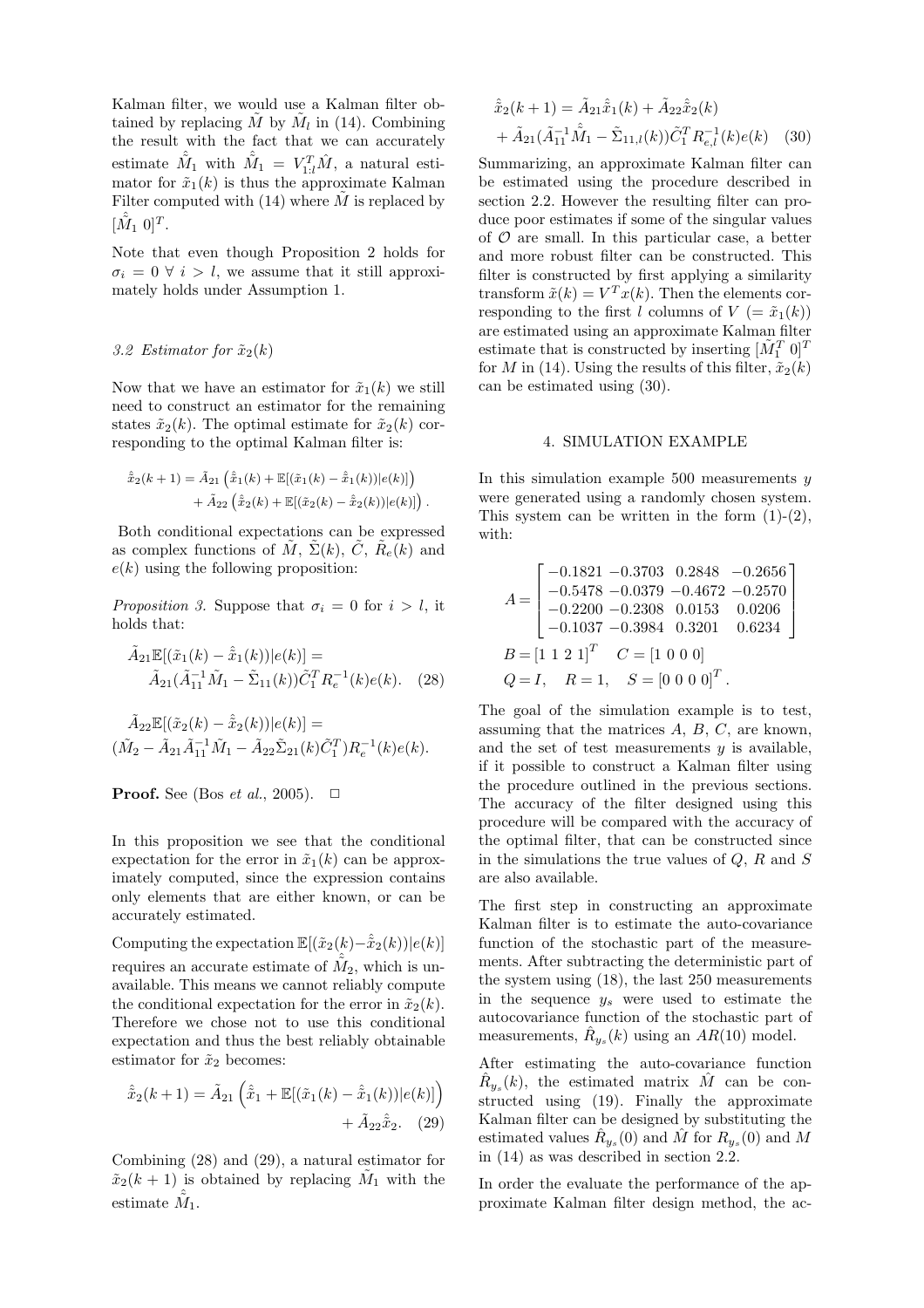Kalman filter, we would use a Kalman filter obtained by replacing  $\tilde{M}$  by  $\tilde{M}_l$  in (14). Combining the result with the fact that we can accurately estimate  $\hat{\tilde{M}}_1$  with  $\hat{\tilde{M}}_1 = V_{1:l}^T \hat{M}$ , a natural estimator for  $\tilde{x}_1(k)$  is thus the approximate Kalman Filter computed with  $(14)$  where  $\tilde{M}$  is replaced by  $[\hat{M}_1 \; 0]^T$ .

Note that even though Proposition 2 holds for  $\sigma_i = 0 \ \forall \ i > l$ , we assume that it still approximately holds under Assumption 1.

# 3.2 Estimator for  $\tilde{x}_2(k)$

Now that we have an estimator for  $\tilde{x}_1(k)$  we still need to construct an estimator for the remaining states  $\tilde{x}_2(k)$ . The optimal estimate for  $\tilde{x}_2(k)$  corresponding to the optimal Kalman filter is:

$$
\hat{\tilde{x}}_2(k+1) = \tilde{A}_{21} \left( \hat{\tilde{x}}_1(k) + \mathbb{E}[(\tilde{x}_1(k) - \hat{\tilde{x}}_1(k))|e(k)] \right) + \tilde{A}_{22} \left( \hat{\tilde{x}}_2(k) + \mathbb{E}[(\tilde{x}_2(k) - \hat{\tilde{x}}_2(k))|e(k)] \right).
$$

Both conditional expectations can be expressed as complex functions of  $\tilde{M}$ ,  $\Sigma(k)$ ,  $\tilde{C}$ ,  $\tilde{R}_e(k)$  and  $e(k)$  using the following proposition:

*Proposition 3.* Suppose that  $\sigma_i = 0$  for  $i > l$ , it holds that:

$$
\tilde{A}_{21} \mathbb{E}[(\tilde{x}_1(k) - \hat{\tilde{x}}_1(k))|e(k)] =
$$
  
\n
$$
\tilde{A}_{21}(\tilde{A}_{11}^{-1}\tilde{M}_1 - \tilde{\Sigma}_{11}(k))\tilde{C}_1^T R_e^{-1}(k)e(k).
$$
 (28)

$$
\tilde{A}_{22} \mathbb{E}[(\tilde{x}_2(k) - \hat{\tilde{x}}_2(k))|e(k)] =
$$
  

$$
(\tilde{M}_2 - \tilde{A}_{21}\tilde{A}_{11}^{-1}\tilde{M}_1 - \tilde{A}_{22}\tilde{\Sigma}_{21}(k)\tilde{C}_1^T)R_e^{-1}(k)e(k).
$$

**Proof.** See (Bos *et al.*, 2005). 
$$
\Box
$$

In this proposition we see that the conditional expectation for the error in  $\tilde{x}_1(k)$  can be approximately computed, since the expression contains only elements that are either known, or can be accurately estimated.

Computing the expectation  $\mathbb{E}[(\tilde{x}_2(k)-\hat{\tilde{x}}_2(k))|e(k)]$ requires an accurate estimate of  $\tilde{M}_2$ , which is unavailable. This means we cannot reliably compute the conditional expectation for the error in  $\tilde{x}_2(k)$ . Therefore we chose not to use this conditional expectation and thus the best reliably obtainable estimator for  $\tilde{x}_2$  becomes:

$$
\hat{\tilde{x}}_2(k+1) = \tilde{A}_{21} \left( \hat{\tilde{x}}_1 + \mathbb{E}[(\tilde{x}_1(k) - \hat{\tilde{x}}_1(k))|e(k)] \right) + \tilde{A}_{22} \hat{\tilde{x}}_2.
$$
 (29)

Combining (28) and (29), a natural estimator for  $\tilde{x}_2(k+1)$  is obtained by replacing  $\tilde{M}_1$  with the estimate  $\hat{\tilde{M}}_1$ .

$$
\hat{\tilde{x}}_2(k+1) = \tilde{A}_{21}\hat{\tilde{x}}_1(k) + \tilde{A}_{22}\hat{\tilde{x}}_2(k) \n+ \tilde{A}_{21}(\tilde{A}_{11}^{-1}\hat{\tilde{M}}_1 - \tilde{\Sigma}_{11,l}(k))\tilde{C}_1^T R_{e,l}^{-1}(k)e(k)
$$
\n(30)

Summarizing, an approximate Kalman filter can be estimated using the procedure described in section 2.2. However the resulting filter can produce poor estimates if some of the singular values of  $\mathcal O$  are small. In this particular case, a better and more robust filter can be constructed. This filter is constructed by first applying a similarity transform  $\tilde{x}(k) = V^T x(k)$ . Then the elements corresponding to the first l columns of  $V = \tilde{x}_1(k)$ are estimated using an approximate Kalman filter estimate that is constructed by inserting  $[\tilde{M}_1^T\ 0]^T$ for M in (14). Using the results of this filter,  $\tilde{x}_2(k)$ can be estimated using (30).

#### 4. SIMULATION EXAMPLE

In this simulation example  $500$  measurements  $y$ were generated using a randomly chosen system. This system can be written in the form  $(1)-(2)$ , with:

$$
A = \begin{bmatrix} -0.1821 & -0.3703 & 0.2848 & -0.2656 \\ -0.5478 & -0.0379 & -0.4672 & -0.2570 \\ -0.2200 & -0.2308 & 0.0153 & 0.0206 \\ -0.1037 & -0.3984 & 0.3201 & 0.6234 \end{bmatrix}
$$
  
\n
$$
B = \begin{bmatrix} 1 & 1 & 2 & 1 \end{bmatrix}^T
$$
  $C = \begin{bmatrix} 1 & 0 & 0 & 0 \end{bmatrix}$   
\n $Q = I$ ,  $R = 1$ ,  $S = \begin{bmatrix} 0 & 0 & 0 & 0 \end{bmatrix}^T$ .

The goal of the simulation example is to test, assuming that the matrices  $A, B, C$ , are known, and the set of test measurements  $y$  is available, if it possible to construct a Kalman filter using the procedure outlined in the previous sections. The accuracy of the filter designed using this procedure will be compared with the accuracy of the optimal filter, that can be constructed since in the simulations the true values of  $Q$ ,  $R$  and  $S$ are also available.

The first step in constructing an approximate Kalman filter is to estimate the auto-covariance function of the stochastic part of the measurements. After subtracting the deterministic part of the system using (18), the last 250 measurements in the sequence y*<sup>s</sup>* were used to estimate the autocovariance function of the stochastic part of measurements,  $R_{y_s}(k)$  using an  $AR(10)$  model.

After estimating the auto-covariance function  $\hat{R}_{y_s}(k)$ , the estimated matrix  $\hat{M}$  can be constructed using (19). Finally the approximate Kalman filter can be designed by substituting the estimated values  $\hat{R}_{y_s}(0)$  and  $\hat{M}$  for  $R_{y_s}(0)$  and  $\hat{M}$ in (14) as was described in section 2.2.

In order the evaluate the performance of the approximate Kalman filter design method, the ac-